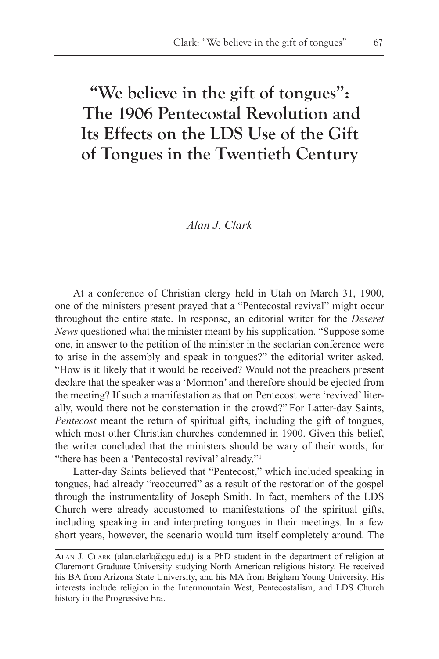# **"We believe in the gift of tongues": The 1906 Pentecostal Revolution and Its Effects on the LDS Use of the Gift of Tongues in the Twentieth Century**

# *Alan J. Clark*

At a conference of Christian clergy held in Utah on March 31, 1900, one of the ministers present prayed that a "Pentecostal revival" might occur throughout the entire state. In response, an editorial writer for the *Deseret News* questioned what the minister meant by his supplication. "Suppose some one, in answer to the petition of the minister in the sectarian conference were to arise in the assembly and speak in tongues?" the editorial writer asked. "How is it likely that it would be received? Would not the preachers present declare that the speaker was a 'Mormon' and therefore should be ejected from the meeting? If such a manifestation as that on Pentecost were 'revived' literally, would there not be consternation in the crowd?" For Latter-day Saints, *Pentecost* meant the return of spiritual gifts, including the gift of tongues, which most other Christian churches condemned in 1900. Given this belief, the writer concluded that the ministers should be wary of their words, for "there has been a 'Pentecostal revival' already."<sup>1</sup>

Latter-day Saints believed that "Pentecost," which included speaking in tongues, had already "reoccurred" as a result of the restoration of the gospel through the instrumentality of Joseph Smith. In fact, members of the LDS Church were already accustomed to manifestations of the spiritual gifts, including speaking in and interpreting tongues in their meetings. In a few short years, however, the scenario would turn itself completely around. The

ALAN J. CLARK (alan.clark@cgu.edu) is a PhD student in the department of religion at Claremont Graduate University studying North American religious history. He received his BA from Arizona State University, and his MA from Brigham Young University. His interests include religion in the Intermountain West, Pentecostalism, and LDS Church history in the Progressive Era.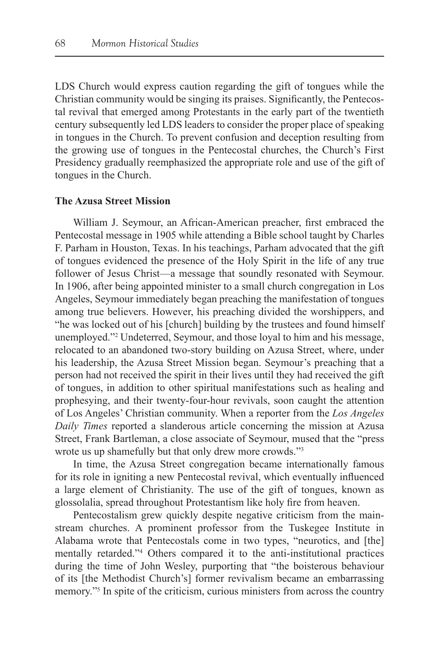LDS Church would express caution regarding the gift of tongues while the Christian community would be singing its praises. Significantly, the Pentecostal revival that emerged among Protestants in the early part of the twentieth century subsequently led LDS leaders to consider the proper place of speaking in tongues in the Church. To prevent confusion and deception resulting from the growing use of tongues in the Pentecostal churches, the Church's First Presidency gradually reemphasized the appropriate role and use of the gift of tongues in the Church.

## **The Azusa Street Mission**

William J. Seymour, an African-American preacher, first embraced the Pentecostal message in 1905 while attending a Bible school taught by Charles F. Parham in Houston, Texas. In his teachings, Parham advocated that the gift of tongues evidenced the presence of the Holy Spirit in the life of any true follower of Jesus Christ—a message that soundly resonated with Seymour. In 1906, after being appointed minister to a small church congregation in Los Angeles, Seymour immediately began preaching the manifestation of tongues among true believers. However, his preaching divided the worshippers, and "he was locked out of his [church] building by the trustees and found himself unemployed."2 Undeterred, Seymour, and those loyal to him and his message, relocated to an abandoned two-story building on Azusa Street, where, under his leadership, the Azusa Street Mission began. Seymour's preaching that a person had not received the spirit in their lives until they had received the gift of tongues, in addition to other spiritual manifestations such as healing and prophesying, and their twenty-four-hour revivals, soon caught the attention of Los Angeles' Christian community. When a reporter from the *Los Angeles Daily Times* reported a slanderous article concerning the mission at Azusa Street, Frank Bartleman, a close associate of Seymour, mused that the "press wrote us up shamefully but that only drew more crowds."3

In time, the Azusa Street congregation became internationally famous for its role in igniting a new Pentecostal revival, which eventually influenced a large element of Christianity. The use of the gift of tongues, known as glossolalia, spread throughout Protestantism like holy fire from heaven.

Pentecostalism grew quickly despite negative criticism from the mainstream churches. A prominent professor from the Tuskegee Institute in Alabama wrote that Pentecostals come in two types, "neurotics, and [the] mentally retarded."4 Others compared it to the anti-institutional practices during the time of John Wesley, purporting that "the boisterous behaviour of its [the Methodist Church's] former revivalism became an embarrassing memory."5 In spite of the criticism, curious ministers from across the country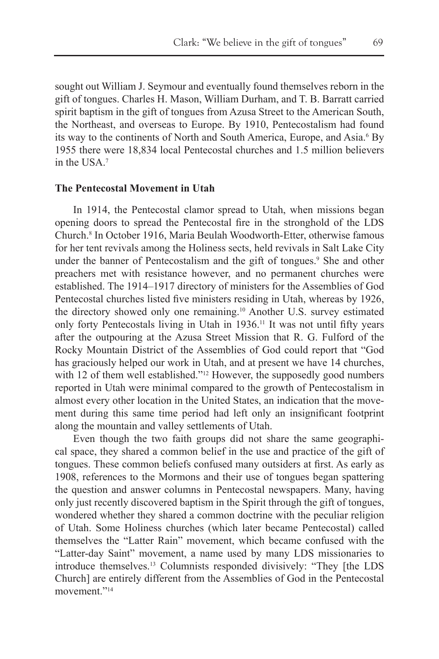sought out William J. Seymour and eventually found themselves reborn in the gift of tongues. Charles H. Mason, William Durham, and T. B. Barratt carried spirit baptism in the gift of tongues from Azusa Street to the American South, the Northeast, and overseas to Europe. By 1910, Pentecostalism had found its way to the continents of North and South America, Europe, and Asia.<sup>6</sup> By 1955 there were 18,834 local Pentecostal churches and 1.5 million believers in the USA.7

#### **The Pentecostal Movement in Utah**

In 1914, the Pentecostal clamor spread to Utah, when missions began opening doors to spread the Pentecostal fire in the stronghold of the LDS Church.8 In October 1916, Maria Beulah Woodworth-Etter, otherwise famous for her tent revivals among the Holiness sects, held revivals in Salt Lake City under the banner of Pentecostalism and the gift of tongues.<sup>9</sup> She and other preachers met with resistance however, and no permanent churches were established. The 1914–1917 directory of ministers for the Assemblies of God Pentecostal churches listed five ministers residing in Utah, whereas by 1926, the directory showed only one remaining.10 Another U.S. survey estimated only forty Pentecostals living in Utah in 1936.11 It was not until fifty years after the outpouring at the Azusa Street Mission that R. G. Fulford of the Rocky Mountain District of the Assemblies of God could report that "God has graciously helped our work in Utah, and at present we have 14 churches, with 12 of them well established."<sup>12</sup> However, the supposedly good numbers reported in Utah were minimal compared to the growth of Pentecostalism in almost every other location in the United States, an indication that the movement during this same time period had left only an insignificant footprint along the mountain and valley settlements of Utah.

Even though the two faith groups did not share the same geographical space, they shared a common belief in the use and practice of the gift of tongues. These common beliefs confused many outsiders at first. As early as 1908, references to the Mormons and their use of tongues began spattering the question and answer columns in Pentecostal newspapers. Many, having only just recently discovered baptism in the Spirit through the gift of tongues, wondered whether they shared a common doctrine with the peculiar religion of Utah. Some Holiness churches (which later became Pentecostal) called themselves the "Latter Rain" movement, which became confused with the "Latter-day Saint" movement, a name used by many LDS missionaries to introduce themselves.13 Columnists responded divisively: "They [the LDS Church] are entirely different from the Assemblies of God in the Pentecostal movement<sup>"14</sup>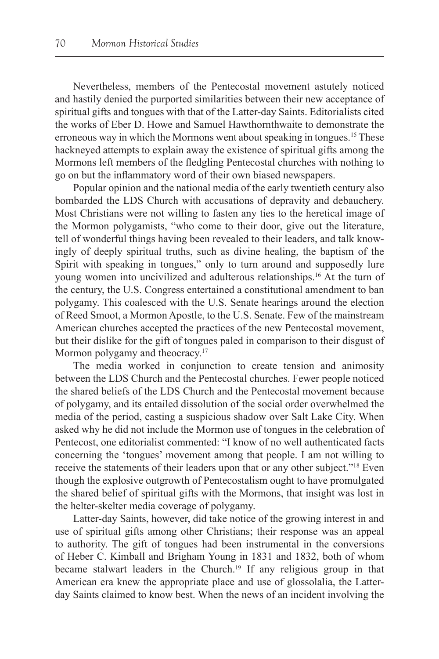Nevertheless, members of the Pentecostal movement astutely noticed and hastily denied the purported similarities between their new acceptance of spiritual gifts and tongues with that of the Latter-day Saints. Editorialists cited the works of Eber D. Howe and Samuel Hawthornthwaite to demonstrate the erroneous way in which the Mormons went about speaking in tongues.<sup>15</sup> These hackneyed attempts to explain away the existence of spiritual gifts among the Mormons left members of the fledgling Pentecostal churches with nothing to go on but the inflammatory word of their own biased newspapers.

Popular opinion and the national media of the early twentieth century also bombarded the LDS Church with accusations of depravity and debauchery. Most Christians were not willing to fasten any ties to the heretical image of the Mormon polygamists, "who come to their door, give out the literature, tell of wonderful things having been revealed to their leaders, and talk knowingly of deeply spiritual truths, such as divine healing, the baptism of the Spirit with speaking in tongues," only to turn around and supposedly lure young women into uncivilized and adulterous relationships.16 At the turn of the century, the U.S. Congress entertained a constitutional amendment to ban polygamy. This coalesced with the U.S. Senate hearings around the election of Reed Smoot, a Mormon Apostle, to the U.S. Senate. Few of the mainstream American churches accepted the practices of the new Pentecostal movement, but their dislike for the gift of tongues paled in comparison to their disgust of Mormon polygamy and theocracy.<sup>17</sup>

The media worked in conjunction to create tension and animosity between the LDS Church and the Pentecostal churches. Fewer people noticed the shared beliefs of the LDS Church and the Pentecostal movement because of polygamy, and its entailed dissolution of the social order overwhelmed the media of the period, casting a suspicious shadow over Salt Lake City. When asked why he did not include the Mormon use of tongues in the celebration of Pentecost, one editorialist commented: "I know of no well authenticated facts concerning the 'tongues' movement among that people. I am not willing to receive the statements of their leaders upon that or any other subject."18 Even though the explosive outgrowth of Pentecostalism ought to have promulgated the shared belief of spiritual gifts with the Mormons, that insight was lost in the helter-skelter media coverage of polygamy.

Latter-day Saints, however, did take notice of the growing interest in and use of spiritual gifts among other Christians; their response was an appeal to authority. The gift of tongues had been instrumental in the conversions of Heber C. Kimball and Brigham Young in 1831 and 1832, both of whom became stalwart leaders in the Church.19 If any religious group in that American era knew the appropriate place and use of glossolalia, the Latterday Saints claimed to know best. When the news of an incident involving the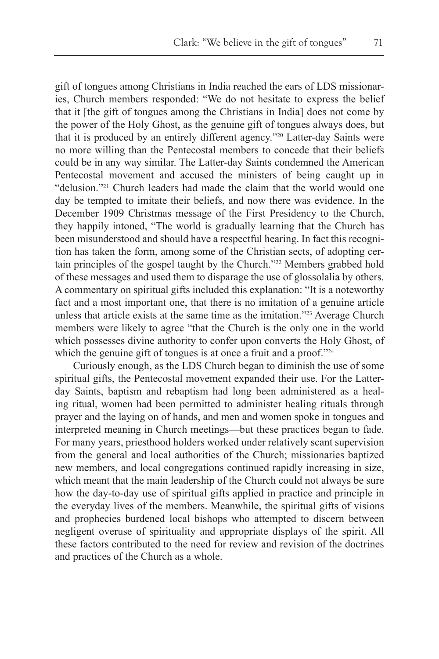gift of tongues among Christians in India reached the ears of LDS missionaries, Church members responded: "We do not hesitate to express the belief that it [the gift of tongues among the Christians in India] does not come by the power of the Holy Ghost, as the genuine gift of tongues always does, but that it is produced by an entirely different agency."20 Latter-day Saints were no more willing than the Pentecostal members to concede that their beliefs could be in any way similar. The Latter-day Saints condemned the American Pentecostal movement and accused the ministers of being caught up in "delusion."21 Church leaders had made the claim that the world would one day be tempted to imitate their beliefs, and now there was evidence. In the December 1909 Christmas message of the First Presidency to the Church, they happily intoned, "The world is gradually learning that the Church has been misunderstood and should have a respectful hearing. In fact this recognition has taken the form, among some of the Christian sects, of adopting certain principles of the gospel taught by the Church."<sup>22</sup> Members grabbed hold of these messages and used them to disparage the use of glossolalia by others. A commentary on spiritual gifts included this explanation: "It is a noteworthy fact and a most important one, that there is no imitation of a genuine article unless that article exists at the same time as the imitation."23 Average Church members were likely to agree "that the Church is the only one in the world which possesses divine authority to confer upon converts the Holy Ghost, of which the genuine gift of tongues is at once a fruit and a proof."24

Curiously enough, as the LDS Church began to diminish the use of some spiritual gifts, the Pentecostal movement expanded their use. For the Latterday Saints, baptism and rebaptism had long been administered as a healing ritual, women had been permitted to administer healing rituals through prayer and the laying on of hands, and men and women spoke in tongues and interpreted meaning in Church meetings—but these practices began to fade. For many years, priesthood holders worked under relatively scant supervision from the general and local authorities of the Church; missionaries baptized new members, and local congregations continued rapidly increasing in size, which meant that the main leadership of the Church could not always be sure how the day-to-day use of spiritual gifts applied in practice and principle in the everyday lives of the members. Meanwhile, the spiritual gifts of visions and prophecies burdened local bishops who attempted to discern between negligent overuse of spirituality and appropriate displays of the spirit. All these factors contributed to the need for review and revision of the doctrines and practices of the Church as a whole.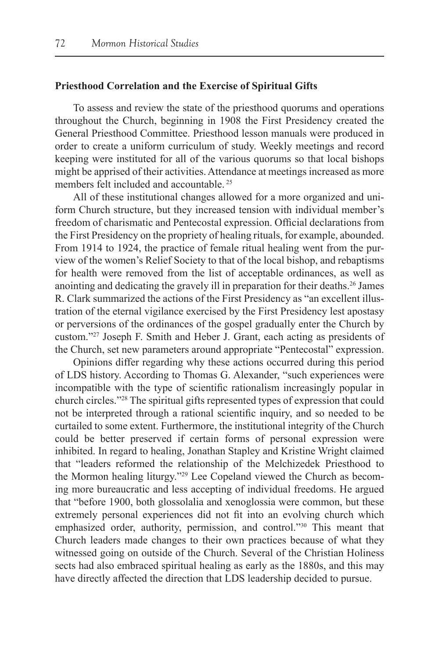#### **Priesthood Correlation and the Exercise of Spiritual Gifts**

To assess and review the state of the priesthood quorums and operations throughout the Church, beginning in 1908 the First Presidency created the General Priesthood Committee. Priesthood lesson manuals were produced in order to create a uniform curriculum of study. Weekly meetings and record keeping were instituted for all of the various quorums so that local bishops might be apprised of their activities. Attendance at meetings increased as more members felt included and accountable. 25

All of these institutional changes allowed for a more organized and uniform Church structure, but they increased tension with individual member's freedom of charismatic and Pentecostal expression. Official declarations from the First Presidency on the propriety of healing rituals, for example, abounded. From 1914 to 1924, the practice of female ritual healing went from the purview of the women's Relief Society to that of the local bishop, and rebaptisms for health were removed from the list of acceptable ordinances, as well as anointing and dedicating the gravely ill in preparation for their deaths.26 James R. Clark summarized the actions of the First Presidency as "an excellent illustration of the eternal vigilance exercised by the First Presidency lest apostasy or perversions of the ordinances of the gospel gradually enter the Church by custom."27 Joseph F. Smith and Heber J. Grant, each acting as presidents of the Church, set new parameters around appropriate "Pentecostal" expression.

Opinions differ regarding why these actions occurred during this period of LDS history. According to Thomas G. Alexander, "such experiences were incompatible with the type of scientific rationalism increasingly popular in church circles."28 The spiritual gifts represented types of expression that could not be interpreted through a rational scientific inquiry, and so needed to be curtailed to some extent. Furthermore, the institutional integrity of the Church could be better preserved if certain forms of personal expression were inhibited. In regard to healing, Jonathan Stapley and Kristine Wright claimed that "leaders reformed the relationship of the Melchizedek Priesthood to the Mormon healing liturgy."29 Lee Copeland viewed the Church as becoming more bureaucratic and less accepting of individual freedoms. He argued that "before 1900, both glossolalia and xenoglossia were common, but these extremely personal experiences did not fit into an evolving church which emphasized order, authority, permission, and control."<sup>30</sup> This meant that Church leaders made changes to their own practices because of what they witnessed going on outside of the Church. Several of the Christian Holiness sects had also embraced spiritual healing as early as the 1880s, and this may have directly affected the direction that LDS leadership decided to pursue.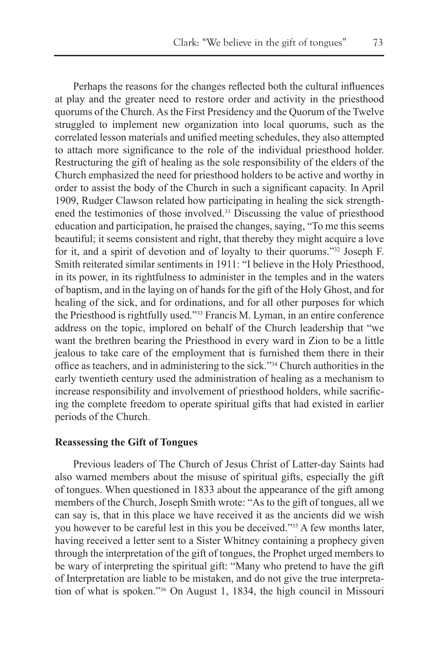Perhaps the reasons for the changes reflected both the cultural influences at play and the greater need to restore order and activity in the priesthood quorums of the Church. As the First Presidency and the Quorum of the Twelve struggled to implement new organization into local quorums, such as the correlated lesson materials and unified meeting schedules, they also attempted to attach more significance to the role of the individual priesthood holder. Restructuring the gift of healing as the sole responsibility of the elders of the Church emphasized the need for priesthood holders to be active and worthy in order to assist the body of the Church in such a significant capacity. In April 1909, Rudger Clawson related how participating in healing the sick strengthened the testimonies of those involved.31 Discussing the value of priesthood education and participation, he praised the changes, saying, "To me this seems beautiful; it seems consistent and right, that thereby they might acquire a love for it, and a spirit of devotion and of loyalty to their quorums."32 Joseph F. Smith reiterated similar sentiments in 1911: "I believe in the Holy Priesthood, in its power, in its rightfulness to administer in the temples and in the waters of baptism, and in the laying on of hands for the gift of the Holy Ghost, and for healing of the sick, and for ordinations, and for all other purposes for which the Priesthood is rightfully used."33 Francis M. Lyman, in an entire conference address on the topic, implored on behalf of the Church leadership that "we want the brethren bearing the Priesthood in every ward in Zion to be a little jealous to take care of the employment that is furnished them there in their office as teachers, and in administering to the sick."34 Church authorities in the early twentieth century used the administration of healing as a mechanism to increase responsibility and involvement of priesthood holders, while sacrificing the complete freedom to operate spiritual gifts that had existed in earlier periods of the Church.

## **Reassessing the Gift of Tongues**

Previous leaders of The Church of Jesus Christ of Latter-day Saints had also warned members about the misuse of spiritual gifts, especially the gift of tongues. When questioned in 1833 about the appearance of the gift among members of the Church, Joseph Smith wrote: "As to the gift of tongues, all we can say is, that in this place we have received it as the ancients did we wish you however to be careful lest in this you be deceived."35 A few months later, having received a letter sent to a Sister Whitney containing a prophecy given through the interpretation of the gift of tongues, the Prophet urged members to be wary of interpreting the spiritual gift: "Many who pretend to have the gift of Interpretation are liable to be mistaken, and do not give the true interpretation of what is spoken."36 On August 1, 1834, the high council in Missouri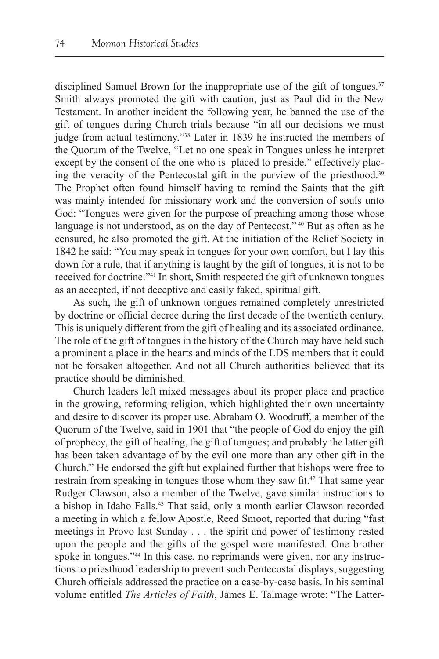disciplined Samuel Brown for the inappropriate use of the gift of tongues.<sup>37</sup> Smith always promoted the gift with caution, just as Paul did in the New Testament. In another incident the following year, he banned the use of the gift of tongues during Church trials because "in all our decisions we must judge from actual testimony."38 Later in 1839 he instructed the members of the Quorum of the Twelve, "Let no one speak in Tongues unless he interpret except by the consent of the one who is placed to preside," effectively placing the veracity of the Pentecostal gift in the purview of the priesthood.39 The Prophet often found himself having to remind the Saints that the gift was mainly intended for missionary work and the conversion of souls unto God: "Tongues were given for the purpose of preaching among those whose language is not understood, as on the day of Pentecost."<sup>40</sup> But as often as he censured, he also promoted the gift. At the initiation of the Relief Society in 1842 he said: "You may speak in tongues for your own comfort, but I lay this down for a rule, that if anything is taught by the gift of tongues, it is not to be received for doctrine."41 In short, Smith respected the gift of unknown tongues as an accepted, if not deceptive and easily faked, spiritual gift.

As such, the gift of unknown tongues remained completely unrestricted by doctrine or official decree during the first decade of the twentieth century. This is uniquely different from the gift of healing and its associated ordinance. The role of the gift of tongues in the history of the Church may have held such a prominent a place in the hearts and minds of the LDS members that it could not be forsaken altogether. And not all Church authorities believed that its practice should be diminished.

Church leaders left mixed messages about its proper place and practice in the growing, reforming religion, which highlighted their own uncertainty and desire to discover its proper use. Abraham O. Woodruff, a member of the Quorum of the Twelve, said in 1901 that "the people of God do enjoy the gift of prophecy, the gift of healing, the gift of tongues; and probably the latter gift has been taken advantage of by the evil one more than any other gift in the Church." He endorsed the gift but explained further that bishops were free to restrain from speaking in tongues those whom they saw fit.<sup>42</sup> That same year Rudger Clawson, also a member of the Twelve, gave similar instructions to a bishop in Idaho Falls.43 That said, only a month earlier Clawson recorded a meeting in which a fellow Apostle, Reed Smoot, reported that during "fast meetings in Provo last Sunday . . . the spirit and power of testimony rested upon the people and the gifts of the gospel were manifested. One brother spoke in tongues."<sup>44</sup> In this case, no reprimands were given, nor any instructions to priesthood leadership to prevent such Pentecostal displays, suggesting Church officials addressed the practice on a case-by-case basis. In his seminal volume entitled *The Articles of Faith*, James E. Talmage wrote: "The Latter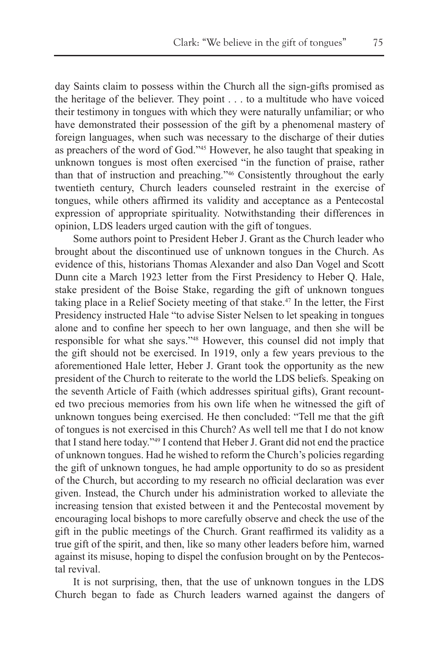day Saints claim to possess within the Church all the sign-gifts promised as the heritage of the believer. They point . . . to a multitude who have voiced their testimony in tongues with which they were naturally unfamiliar; or who have demonstrated their possession of the gift by a phenomenal mastery of foreign languages, when such was necessary to the discharge of their duties as preachers of the word of God."45 However, he also taught that speaking in unknown tongues is most often exercised "in the function of praise, rather than that of instruction and preaching."46 Consistently throughout the early twentieth century, Church leaders counseled restraint in the exercise of tongues, while others affirmed its validity and acceptance as a Pentecostal expression of appropriate spirituality. Notwithstanding their differences in opinion, LDS leaders urged caution with the gift of tongues.

Some authors point to President Heber J. Grant as the Church leader who brought about the discontinued use of unknown tongues in the Church. As evidence of this, historians Thomas Alexander and also Dan Vogel and Scott Dunn cite a March 1923 letter from the First Presidency to Heber Q. Hale, stake president of the Boise Stake, regarding the gift of unknown tongues taking place in a Relief Society meeting of that stake.47 In the letter, the First Presidency instructed Hale "to advise Sister Nelsen to let speaking in tongues alone and to confine her speech to her own language, and then she will be responsible for what she says."48 However, this counsel did not imply that the gift should not be exercised. In 1919, only a few years previous to the aforementioned Hale letter, Heber J. Grant took the opportunity as the new president of the Church to reiterate to the world the LDS beliefs. Speaking on the seventh Article of Faith (which addresses spiritual gifts), Grant recounted two precious memories from his own life when he witnessed the gift of unknown tongues being exercised. He then concluded: "Tell me that the gift of tongues is not exercised in this Church? As well tell me that I do not know that I stand here today."49 I contend that Heber J. Grant did not end the practice of unknown tongues. Had he wished to reform the Church's policies regarding the gift of unknown tongues, he had ample opportunity to do so as president of the Church, but according to my research no official declaration was ever given. Instead, the Church under his administration worked to alleviate the increasing tension that existed between it and the Pentecostal movement by encouraging local bishops to more carefully observe and check the use of the gift in the public meetings of the Church. Grant reaffirmed its validity as a true gift of the spirit, and then, like so many other leaders before him, warned against its misuse, hoping to dispel the confusion brought on by the Pentecostal revival.

It is not surprising, then, that the use of unknown tongues in the LDS Church began to fade as Church leaders warned against the dangers of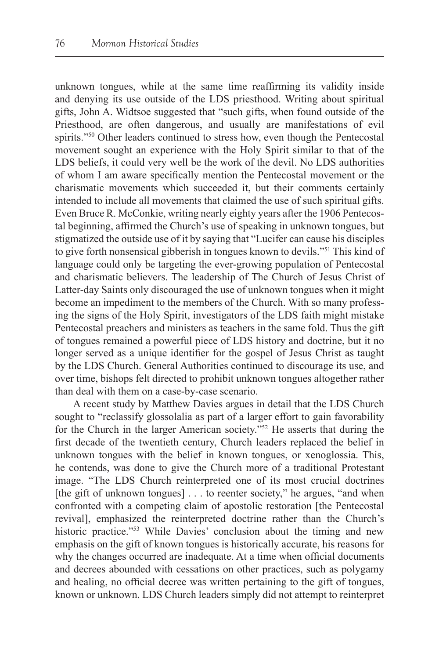unknown tongues, while at the same time reaffirming its validity inside and denying its use outside of the LDS priesthood. Writing about spiritual gifts, John A. Widtsoe suggested that "such gifts, when found outside of the Priesthood, are often dangerous, and usually are manifestations of evil spirits."<sup>50</sup> Other leaders continued to stress how, even though the Pentecostal movement sought an experience with the Holy Spirit similar to that of the LDS beliefs, it could very well be the work of the devil. No LDS authorities of whom I am aware specifically mention the Pentecostal movement or the charismatic movements which succeeded it, but their comments certainly intended to include all movements that claimed the use of such spiritual gifts. Even Bruce R. McConkie, writing nearly eighty years after the 1906 Pentecostal beginning, affirmed the Church's use of speaking in unknown tongues, but stigmatized the outside use of it by saying that "Lucifer can cause his disciples to give forth nonsensical gibberish in tongues known to devils."51 This kind of language could only be targeting the ever-growing population of Pentecostal and charismatic believers. The leadership of The Church of Jesus Christ of Latter-day Saints only discouraged the use of unknown tongues when it might become an impediment to the members of the Church. With so many professing the signs of the Holy Spirit, investigators of the LDS faith might mistake Pentecostal preachers and ministers as teachers in the same fold. Thus the gift of tongues remained a powerful piece of LDS history and doctrine, but it no longer served as a unique identifier for the gospel of Jesus Christ as taught by the LDS Church. General Authorities continued to discourage its use, and over time, bishops felt directed to prohibit unknown tongues altogether rather than deal with them on a case-by-case scenario.

A recent study by Matthew Davies argues in detail that the LDS Church sought to "reclassify glossolalia as part of a larger effort to gain favorability for the Church in the larger American society."52 He asserts that during the first decade of the twentieth century, Church leaders replaced the belief in unknown tongues with the belief in known tongues, or xenoglossia. This, he contends, was done to give the Church more of a traditional Protestant image. "The LDS Church reinterpreted one of its most crucial doctrines [the gift of unknown tongues] . . . to reenter society," he argues, "and when confronted with a competing claim of apostolic restoration [the Pentecostal revival], emphasized the reinterpreted doctrine rather than the Church's historic practice."53 While Davies' conclusion about the timing and new emphasis on the gift of known tongues is historically accurate, his reasons for why the changes occurred are inadequate. At a time when official documents and decrees abounded with cessations on other practices, such as polygamy and healing, no official decree was written pertaining to the gift of tongues, known or unknown. LDS Church leaders simply did not attempt to reinterpret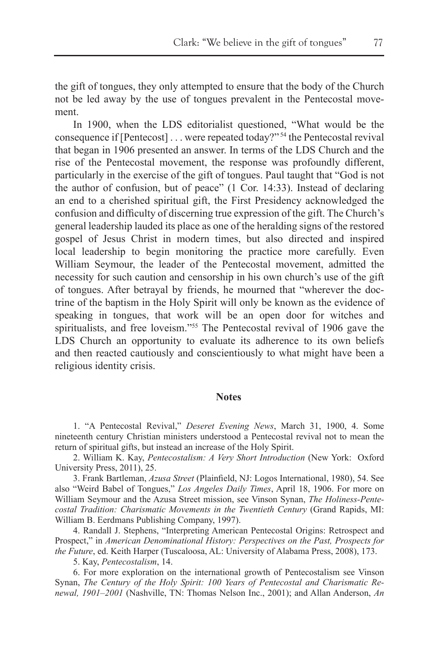the gift of tongues, they only attempted to ensure that the body of the Church not be led away by the use of tongues prevalent in the Pentecostal movement.

In 1900, when the LDS editorialist questioned, "What would be the consequence if [Pentecost] . . . were repeated today?" 54 the Pentecostal revival that began in 1906 presented an answer. In terms of the LDS Church and the rise of the Pentecostal movement, the response was profoundly different, particularly in the exercise of the gift of tongues. Paul taught that "God is not the author of confusion, but of peace" (1 Cor. 14:33). Instead of declaring an end to a cherished spiritual gift, the First Presidency acknowledged the confusion and difficulty of discerning true expression of the gift. The Church's general leadership lauded its place as one of the heralding signs of the restored gospel of Jesus Christ in modern times, but also directed and inspired local leadership to begin monitoring the practice more carefully. Even William Seymour, the leader of the Pentecostal movement, admitted the necessity for such caution and censorship in his own church's use of the gift of tongues. After betrayal by friends, he mourned that "wherever the doctrine of the baptism in the Holy Spirit will only be known as the evidence of speaking in tongues, that work will be an open door for witches and spiritualists, and free loveism."<sup>55</sup> The Pentecostal revival of 1906 gave the LDS Church an opportunity to evaluate its adherence to its own beliefs and then reacted cautiously and conscientiously to what might have been a religious identity crisis.

#### **Notes**

1. "A Pentecostal Revival," *Deseret Evening News*, March 31, 1900, 4. Some nineteenth century Christian ministers understood a Pentecostal revival not to mean the return of spiritual gifts, but instead an increase of the Holy Spirit.

2. William K. Kay, *Pentecostalism: A Very Short Introduction* (New York: Oxford University Press, 2011), 25.

3. Frank Bartleman, *Azusa Street* (Plainfield, NJ: Logos International, 1980), 54. See also "Weird Babel of Tongues," *Los Angeles Daily Times*, April 18, 1906. For more on William Seymour and the Azusa Street mission, see Vinson Synan, *The Holiness-Pentecostal Tradition: Charismatic Movements in the Twentieth Century* (Grand Rapids, MI: William B. Eerdmans Publishing Company, 1997).

4. Randall J. Stephens, "Interpreting American Pentecostal Origins: Retrospect and Prospect," in *American Denominational History: Perspectives on the Past, Prospects for the Future*, ed. Keith Harper (Tuscaloosa, AL: University of Alabama Press, 2008), 173.

5. Kay, *Pentecostalism*, 14.

6. For more exploration on the international growth of Pentecostalism see Vinson Synan, *The Century of the Holy Spirit: 100 Years of Pentecostal and Charismatic Renewal, 1901–2001* (Nashville, TN: Thomas Nelson Inc., 2001); and Allan Anderson, *An*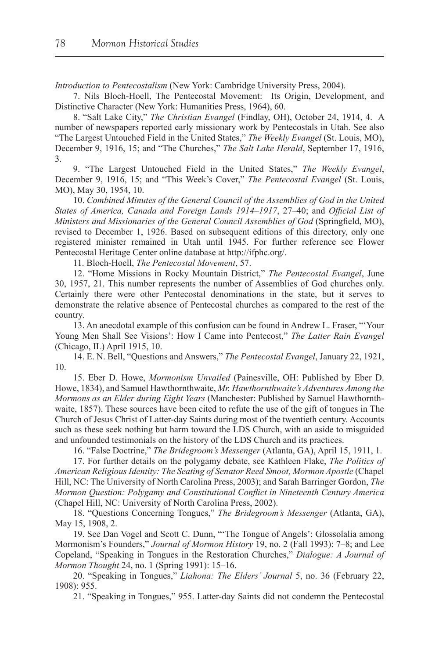*Introduction to Pentecostalism* (New York: Cambridge University Press, 2004).

7. Nils Bloch-Hoell, The Pentecostal Movement: Its Origin, Development, and Distinctive Character (New York: Humanities Press, 1964), 60.

8. "Salt Lake City," *The Christian Evangel* (Findlay, OH), October 24, 1914, 4. A number of newspapers reported early missionary work by Pentecostals in Utah. See also "The Largest Untouched Field in the United States," *The Weekly Evangel* (St. Louis, MO), December 9, 1916, 15; and "The Churches," *The Salt Lake Herald*, September 17, 1916, 3.

9. "The Largest Untouched Field in the United States," *The Weekly Evangel*, December 9, 1916, 15; and "This Week's Cover," *The Pentecostal Evangel* (St. Louis, MO), May 30, 1954, 10.

10. *Combined Minutes of the General Council of the Assemblies of God in the United States of America, Canada and Foreign Lands 1914–1917*, 27–40; and *Official List of Ministers and Missionaries of the General Council Assemblies of God* (Springfield, MO), revised to December 1, 1926. Based on subsequent editions of this directory, only one registered minister remained in Utah until 1945. For further reference see Flower Pentecostal Heritage Center online database at http://ifphc.org/.

11. Bloch-Hoell, *The Pentecostal Movement*, 57.

12. "Home Missions in Rocky Mountain District," *The Pentecostal Evangel*, June 30, 1957, 21. This number represents the number of Assemblies of God churches only. Certainly there were other Pentecostal denominations in the state, but it serves to demonstrate the relative absence of Pentecostal churches as compared to the rest of the country.

13. An anecdotal example of this confusion can be found in Andrew L. Fraser, "'Your Young Men Shall See Visions': How I Came into Pentecost," *The Latter Rain Evangel* (Chicago, IL) April 1915, 10.

14. E. N. Bell, "Questions and Answers," *The Pentecostal Evangel*, January 22, 1921, 10.

15. Eber D. Howe, *Mormonism Unvailed* (Painesville, OH: Published by Eber D. Howe, 1834), and Samuel Hawthornthwaite, *Mr. Hawthornthwaite's Adventures Among the Mormons as an Elder during Eight Years* (Manchester: Published by Samuel Hawthornthwaite, 1857). These sources have been cited to refute the use of the gift of tongues in The Church of Jesus Christ of Latter-day Saints during most of the twentieth century. Accounts such as these seek nothing but harm toward the LDS Church, with an aside to misguided and unfounded testimonials on the history of the LDS Church and its practices.

16. "False Doctrine," *The Bridegroom's Messenger* (Atlanta, GA), April 15, 1911, 1.

17. For further details on the polygamy debate, see Kathleen Flake, *The Politics of American Religious Identity: The Seating of Senator Reed Smoot, Mormon Apostle* (Chapel Hill, NC: The University of North Carolina Press, 2003); and Sarah Barringer Gordon, *The Mormon Question: Polygamy and Constitutional Conflict in Nineteenth Century America* (Chapel Hill, NC: University of North Carolina Press, 2002).

18. "Questions Concerning Tongues," *The Bridegroom's Messenger* (Atlanta, GA), May 15, 1908, 2.

19. See Dan Vogel and Scott C. Dunn, "The Tongue of Angels': Glossolalia among Mormonism's Founders," *Journal of Mormon History* 19, no. 2 (Fall 1993): 7–8; and Lee Copeland, "Speaking in Tongues in the Restoration Churches," *Dialogue: A Journal of Mormon Thought* 24, no. 1 (Spring 1991): 15–16.

20. "Speaking in Tongues," *Liahona: The Elders' Journal* 5, no. 36 (February 22, 1908): 955.

21. "Speaking in Tongues," 955. Latter-day Saints did not condemn the Pentecostal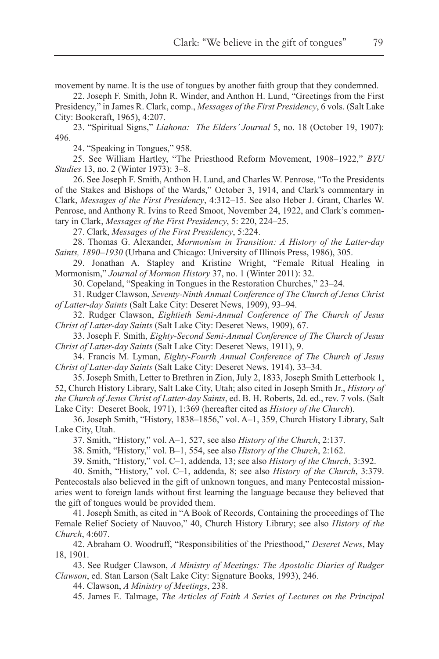movement by name. It is the use of tongues by another faith group that they condemned.

22. Joseph F. Smith, John R. Winder, and Anthon H. Lund, "Greetings from the First Presidency," in James R. Clark, comp., *Messages of the First Presidency*, 6 vols. (Salt Lake City: Bookcraft, 1965), 4:207.

23. "Spiritual Signs," *Liahona: The Elders' Journal* 5, no. 18 (October 19, 1907): 496.

24. "Speaking in Tongues," 958.

25. See William Hartley, "The Priesthood Reform Movement, 1908–1922," *BYU Studies* 13, no. 2 (Winter 1973): 3–8.

26. See Joseph F. Smith, Anthon H. Lund, and Charles W. Penrose, "To the Presidents of the Stakes and Bishops of the Wards," October 3, 1914, and Clark's commentary in Clark, *Messages of the First Presidency*, 4:312–15. See also Heber J. Grant, Charles W. Penrose, and Anthony R. Ivins to Reed Smoot, November 24, 1922, and Clark's commentary in Clark, *Messages of the First Presidency*, 5: 220, 224–25.

27. Clark, *Messages of the First Presidency*, 5:224.

28. Thomas G. Alexander, *Mormonism in Transition: A History of the Latter-day Saints, 1890–1930* (Urbana and Chicago: University of Illinois Press, 1986), 305.

29. Jonathan A. Stapley and Kristine Wright, "Female Ritual Healing in Mormonism," *Journal of Mormon History* 37, no. 1 (Winter 2011): 32.

30. Copeland, "Speaking in Tongues in the Restoration Churches," 23–24.

31. Rudger Clawson, *Seventy-Ninth Annual Conference of The Church of Jesus Christ of Latter-day Saints* (Salt Lake City: Deseret News, 1909), 93–94.

32. Rudger Clawson, *Eightieth Semi-Annual Conference of The Church of Jesus Christ of Latter-day Saints* (Salt Lake City: Deseret News, 1909), 67.

33. Joseph F. Smith, *Eighty-Second Semi-Annual Conference of The Church of Jesus Christ of Latter-day Saints* (Salt Lake City: Deseret News, 1911), 9.

34. Francis M. Lyman, *Eighty-Fourth Annual Conference of The Church of Jesus Christ of Latter-day Saints* (Salt Lake City: Deseret News, 1914), 33–34.

35. Joseph Smith, Letter to Brethren in Zion, July 2, 1833, Joseph Smith Letterbook 1, 52, Church History Library, Salt Lake City, Utah; also cited in Joseph Smith Jr., *History of the Church of Jesus Christ of Latter-day Saints*, ed. B. H. Roberts, 2d. ed., rev. 7 vols. (Salt Lake City: Deseret Book, 1971), 1:369 (hereafter cited as *History of the Church*).

36. Joseph Smith, "History, 1838–1856," vol. A–1, 359, Church History Library, Salt Lake City, Utah.

37. Smith, "History," vol. A–1, 527, see also *History of the Church*, 2:137.

38. Smith, "History," vol. B–1, 554, see also *History of the Church*, 2:162.

39. Smith, "History," vol. C–1, addenda, 13; see also *History of the Church*, 3:392.

40. Smith, "History," vol. C–1, addenda, 8; see also *History of the Church*, 3:379. Pentecostals also believed in the gift of unknown tongues, and many Pentecostal missionaries went to foreign lands without first learning the language because they believed that the gift of tongues would be provided them.

41. Joseph Smith, as cited in "A Book of Records, Containing the proceedings of The Female Relief Society of Nauvoo," 40, Church History Library; see also *History of the Church*, 4:607.

42. Abraham O. Woodruff, "Responsibilities of the Priesthood," *Deseret News*, May 18, 1901.

43. See Rudger Clawson, *A Ministry of Meetings: The Apostolic Diaries of Rudger Clawson*, ed. Stan Larson (Salt Lake City: Signature Books, 1993), 246.

44. Clawson, *A Ministry of Meetings*, 238.

45. James E. Talmage, *The Articles of Faith A Series of Lectures on the Principal*